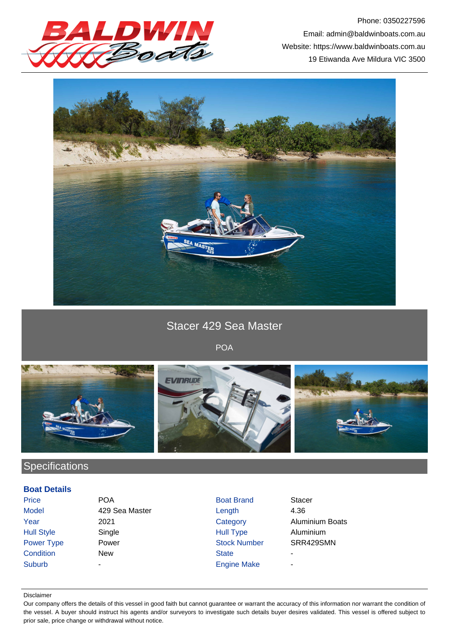

Phone: 0350227596 Email: admin@baldwinboats.com.au Website: https://www.baldwinboats.com.au 19 Etiwanda Ave Mildura VIC 3500



Stacer 429 Sea Master

POA



## **Specifications**

## **Boat Details**

| Price             | <b>POA</b>     | <b>Boat Brand</b>   | <b>Stacer</b> |
|-------------------|----------------|---------------------|---------------|
| <b>Model</b>      | 429 Sea Master | Length              | 4.36          |
| Year              | 2021           | Category            | Aluminium Bo  |
| <b>Hull Style</b> | Single         | <b>Hull Type</b>    | Aluminium     |
| <b>Power Type</b> | Power          | <b>Stock Number</b> | SRR429SMN     |
| Condition         | <b>New</b>     | <b>State</b>        |               |
| <b>Suburb</b>     | ۰              | <b>Engine Make</b>  | ۰             |
|                   |                |                     |               |

minium Boats

## Disclaimer

Our company offers the details of this vessel in good faith but cannot guarantee or warrant the accuracy of this information nor warrant the condition of the vessel. A buyer should instruct his agents and/or surveyors to investigate such details buyer desires validated. This vessel is offered subject to prior sale, price change or withdrawal without notice.